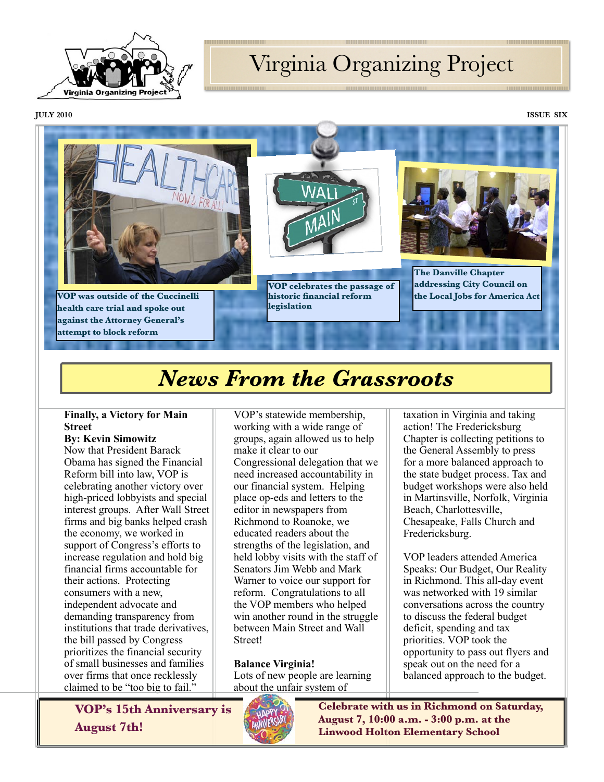

# Virginia Organizing Project

**JULY 2010 ISSUE SIX**



# *News From the Grassroots*

### **Finally, a Victory for Main Street**

### **By: Kevin Simowitz**

Now that President Barack Obama has signed the Financial Reform bill into law, VOP is celebrating another victory over high-priced lobbyists and special interest groups. After Wall Street firms and big banks helped crash the economy, we worked in support of Congress's efforts to increase regulation and hold big financial firms accountable for their actions. Protecting consumers with a new, independent advocate and demanding transparency from institutions that trade derivatives, the bill passed by Congress prioritizes the financial security of small businesses and families over firms that once recklessly claimed to be "too big to fail."

VOP's statewide membership, working with a wide range of groups, again allowed us to help make it clear to our Congressional delegation that we need increased accountability in our financial system. Helping place op-eds and letters to the editor in newspapers from Richmond to Roanoke, we educated readers about the strengths of the legislation, and held lobby visits with the staff of Senators Jim Webb and Mark Warner to voice our support for reform. Congratulations to all the VOP members who helped win another round in the struggle between Main Street and Wall Street!

**Balance Virginia!** Lots of new people are learning about the unfair system of

taxation in Virginia and taking action! The Fredericksburg Chapter is collecting petitions to the General Assembly to press for a more balanced approach to the state budget process. Tax and budget workshops were also held in Martinsville, Norfolk, Virginia Beach, Charlottesville, Chesapeake, Falls Church and Fredericksburg.

VOP leaders attended America Speaks: Our Budget, Our Reality in Richmond. This all-day event was networked with 19 similar conversations across the country to discuss the federal budget deficit, spending and tax priorities. VOP took the opportunity to pass out flyers and speak out on the need for a balanced approach to the budget.

**VOP's 15th Anniversary is August 7th!**



**Celebrate with us in Richmond on Saturday, August 7, 10:00 a.m. - 3:00 p.m. at the Linwood Holton Elementary School**